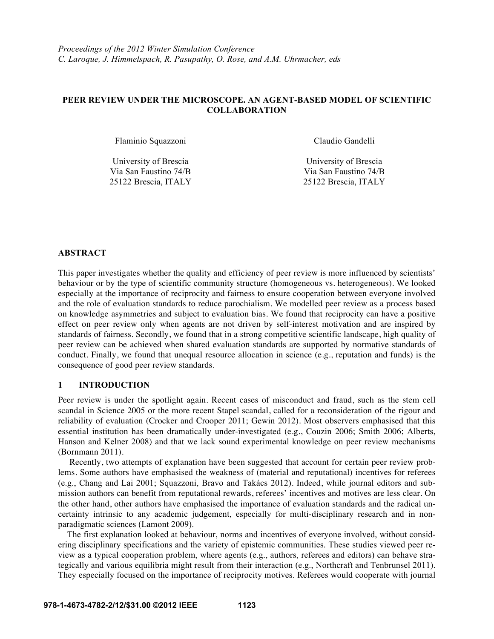# **PEER REVIEW UNDER THE MICROSCOPE. AN AGENT-BASED MODEL OF SCIENTIFIC COLLABORATION**

Flaminio Squazzoni Claudio Gandelli

Via San Faustino 74/B Via San Faustino 74/B 25122 Brescia, ITALY 25122 Brescia, ITALY

University of Brescia University of Brescia

## **ABSTRACT**

This paper investigates whether the quality and efficiency of peer review is more influenced by scientists' behaviour or by the type of scientific community structure (homogeneous vs. heterogeneous). We looked especially at the importance of reciprocity and fairness to ensure cooperation between everyone involved and the role of evaluation standards to reduce parochialism. We modelled peer review as a process based on knowledge asymmetries and subject to evaluation bias. We found that reciprocity can have a positive effect on peer review only when agents are not driven by self-interest motivation and are inspired by standards of fairness. Secondly, we found that in a strong competitive scientific landscape, high quality of peer review can be achieved when shared evaluation standards are supported by normative standards of conduct. Finally, we found that unequal resource allocation in science (e.g., reputation and funds) is the consequence of good peer review standards.

### **1 INTRODUCTION**

Peer review is under the spotlight again. Recent cases of misconduct and fraud, such as the stem cell scandal in Science 2005 or the more recent Stapel scandal, called for a reconsideration of the rigour and reliability of evaluation (Crocker and Crooper 2011; Gewin 2012). Most observers emphasised that this essential institution has been dramatically under-investigated (e.g., Couzin 2006; Smith 2006; Alberts, Hanson and Kelner 2008) and that we lack sound experimental knowledge on peer review mechanisms (Bornmann 2011).

Recently, two attempts of explanation have been suggested that account for certain peer review problems. Some authors have emphasised the weakness of (material and reputational) incentives for referees (e.g., Chang and Lai 2001; Squazzoni, Bravo and Takács 2012). Indeed, while journal editors and submission authors can benefit from reputational rewards, referees' incentives and motives are less clear. On the other hand, other authors have emphasised the importance of evaluation standards and the radical uncertainty intrinsic to any academic judgement, especially for multi-disciplinary research and in nonparadigmatic sciences (Lamont 2009).

The first explanation looked at behaviour, norms and incentives of everyone involved, without considering disciplinary specifications and the variety of epistemic communities. These studies viewed peer review as a typical cooperation problem, where agents (e.g., authors, referees and editors) can behave strategically and various equilibria might result from their interaction (e.g., Northcraft and Tenbrunsel 2011). They especially focused on the importance of reciprocity motives. Referees would cooperate with journal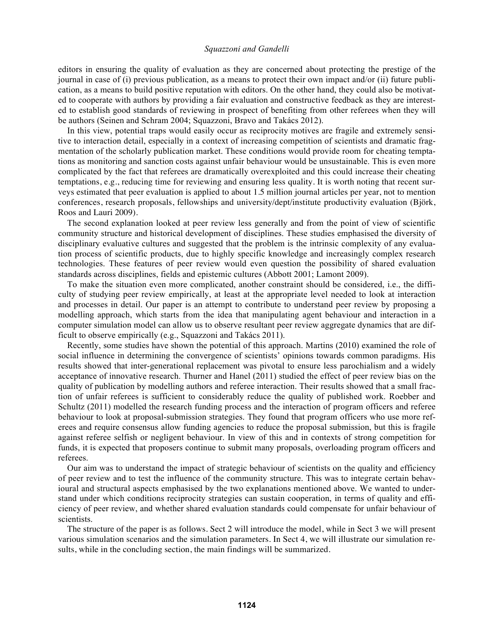editors in ensuring the quality of evaluation as they are concerned about protecting the prestige of the journal in case of (i) previous publication, as a means to protect their own impact and/or (ii) future publication, as a means to build positive reputation with editors. On the other hand, they could also be motivated to cooperate with authors by providing a fair evaluation and constructive feedback as they are interested to establish good standards of reviewing in prospect of benefiting from other referees when they will be authors (Seinen and Schram 2004; Squazzoni, Bravo and Takács 2012).

In this view, potential traps would easily occur as reciprocity motives are fragile and extremely sensitive to interaction detail, especially in a context of increasing competition of scientists and dramatic fragmentation of the scholarly publication market. These conditions would provide room for cheating temptations as monitoring and sanction costs against unfair behaviour would be unsustainable. This is even more complicated by the fact that referees are dramatically overexploited and this could increase their cheating temptations, e.g., reducing time for reviewing and ensuring less quality. It is worth noting that recent surveys estimated that peer evaluation is applied to about 1.5 million journal articles per year, not to mention conferences, research proposals, fellowships and university/dept/institute productivity evaluation (Björk, Roos and Lauri 2009).

The second explanation looked at peer review less generally and from the point of view of scientific community structure and historical development of disciplines. These studies emphasised the diversity of disciplinary evaluative cultures and suggested that the problem is the intrinsic complexity of any evaluation process of scientific products, due to highly specific knowledge and increasingly complex research technologies. These features of peer review would even question the possibility of shared evaluation standards across disciplines, fields and epistemic cultures (Abbott 2001; Lamont 2009).

To make the situation even more complicated, another constraint should be considered, i.e., the difficulty of studying peer review empirically, at least at the appropriate level needed to look at interaction and processes in detail. Our paper is an attempt to contribute to understand peer review by proposing a modelling approach, which starts from the idea that manipulating agent behaviour and interaction in a computer simulation model can allow us to observe resultant peer review aggregate dynamics that are difficult to observe empirically (e.g., Squazzoni and Takács 2011).

Recently, some studies have shown the potential of this approach. Martins (2010) examined the role of social influence in determining the convergence of scientists' opinions towards common paradigms. His results showed that inter-generational replacement was pivotal to ensure less parochialism and a widely acceptance of innovative research. Thurner and Hanel (2011) studied the effect of peer review bias on the quality of publication by modelling authors and referee interaction. Their results showed that a small fraction of unfair referees is sufficient to considerably reduce the quality of published work. Roebber and Schultz (2011) modelled the research funding process and the interaction of program officers and referee behaviour to look at proposal-submission strategies. They found that program officers who use more referees and require consensus allow funding agencies to reduce the proposal submission, but this is fragile against referee selfish or negligent behaviour. In view of this and in contexts of strong competition for funds, it is expected that proposers continue to submit many proposals, overloading program officers and referees.

Our aim was to understand the impact of strategic behaviour of scientists on the quality and efficiency of peer review and to test the influence of the community structure. This was to integrate certain behavioural and structural aspects emphasised by the two explanations mentioned above. We wanted to understand under which conditions reciprocity strategies can sustain cooperation, in terms of quality and efficiency of peer review, and whether shared evaluation standards could compensate for unfair behaviour of scientists.

The structure of the paper is as follows. Sect 2 will introduce the model, while in Sect 3 we will present various simulation scenarios and the simulation parameters. In Sect 4, we will illustrate our simulation results, while in the concluding section, the main findings will be summarized.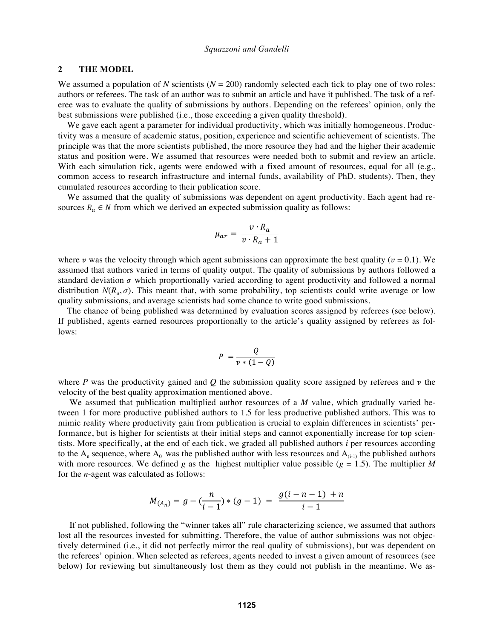#### **2 THE MODEL**

We assumed a population of *N* scientists  $(N = 200)$  randomly selected each tick to play one of two roles: authors or referees. The task of an author was to submit an article and have it published. The task of a referee was to evaluate the quality of submissions by authors. Depending on the referees' opinion, only the best submissions were published (i.e., those exceeding a given quality threshold).

We gave each agent a parameter for individual productivity, which was initially homogeneous. Productivity was a measure of academic status, position, experience and scientific achievement of scientists. The principle was that the more scientists published, the more resource they had and the higher their academic status and position were. We assumed that resources were needed both to submit and review an article. With each simulation tick, agents were endowed with a fixed amount of resources, equal for all (e.g., common access to research infrastructure and internal funds, availability of PhD. students). Then, they cumulated resources according to their publication score.

We assumed that the quality of submissions was dependent on agent productivity. Each agent had resources  $R_a \in N$  from which we derived an expected submission quality as follows:

$$
\mu_{ar} = \frac{v \cdot R_a}{v \cdot R_a + 1}
$$

where v was the velocity through which agent submissions can approximate the best quality ( $v = 0.1$ ). We assumed that authors varied in terms of quality output. The quality of submissions by authors followed a standard deviation  $\sigma$  which proportionally varied according to agent productivity and followed a normal distribution  $N(R_a, \sigma)$ . This meant that, with some probability, top scientists could write average or low quality submissions, and average scientists had some chance to write good submissions.

The chance of being published was determined by evaluation scores assigned by referees (see below). If published, agents earned resources proportionally to the article's quality assigned by referees as follows:

$$
P = \frac{Q}{v*(1-Q)}
$$

where *P* was the productivity gained and *Q* the submission quality score assigned by referees and  $\nu$  the velocity of the best quality approximation mentioned above.

We assumed that publication multiplied author resources of a M value, which gradually varied between 1 for more productive published authors to 1.5 for less productive published authors. This was to mimic reality where productivity gain from publication is crucial to explain differences in scientists' performance, but is higher for scientists at their initial steps and cannot exponentially increase for top scientists. More specifically, at the end of each tick, we graded all published authors *i* per resources according to the  $A_n$  sequence, where  $A_0$  was the published author with less resources and  $A_{(i-1)}$  the published authors with more resources. We defined *g* as the highest multiplier value possible ( $g = 1.5$ ). The multiplier *M* for the *n*-agent was calculated as follows:

$$
M_{(A_n)} = g - \left(\frac{n}{i-1}\right) * (g-1) = \frac{g(i-n-1) + n}{i-1}
$$

If not published, following the "winner takes all" rule characterizing science, we assumed that authors lost all the resources invested for submitting. Therefore, the value of author submissions was not objectively determined (i.e., it did not perfectly mirror the real quality of submissions), but was dependent on the referees' opinion. When selected as referees, agents needed to invest a given amount of resources (see below) for reviewing but simultaneously lost them as they could not publish in the meantime. We as-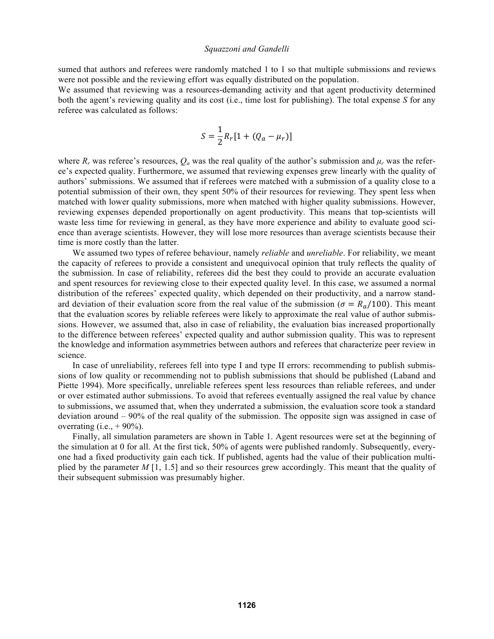sumed that authors and referees were randomly matched 1 to 1 so that multiple submissions and reviews were not possible and the reviewing effort was equally distributed on the population.

We assumed that reviewing was a resources-demanding activity and that agent productivity determined both the agent's reviewing quality and its cost (i.e., time lost for publishing). The total expense *S* for any referee was calculated as follows:

$$
S = \frac{1}{2}R_r[1 + (Q_a - \mu_r)]
$$

where  $R_r$  was referee's resources,  $Q_a$  was the real quality of the author's submission and  $\mu_r$  was the referee's expected quality. Furthermore, we assumed that reviewing expenses grew linearly with the quality of authors' submissions. We assumed that if referees were matched with a submission of a quality close to a potential submission of their own, they spent 50% of their resources for reviewing. They spent less when matched with lower quality submissions, more when matched with higher quality submissions. However, reviewing expenses depended proportionally on agent productivity. This means that top-scientists will waste less time for reviewing in general, as they have more experience and ability to evaluate good science than average scientists. However, they will lose more resources than average scientists because their time is more costly than the latter.

 We assumed two types of referee behaviour, namely *reliable* and *unreliable*. For reliability, we meant the capacity of referees to provide a consistent and unequivocal opinion that truly reflects the quality of the submission. In case of reliability, referees did the best they could to provide an accurate evaluation and spent resources for reviewing close to their expected quality level. In this case, we assumed a normal distribution of the referees' expected quality, which depended on their productivity, and a narrow standard deviation of their evaluation score from the real value of the submission ( $\sigma = R_a/100$ ). This meant that the evaluation scores by reliable referees were likely to approximate the real value of author submissions. However, we assumed that, also in case of reliability, the evaluation bias increased proportionally to the difference between referees' expected quality and author submission quality. This was to represent the knowledge and information asymmetries between authors and referees that characterize peer review in science.

 In case of unreliability, referees fell into type I and type II errors: recommending to publish submissions of low quality or recommending not to publish submissions that should be published (Laband and Piette 1994). More specifically, unreliable referees spent less resources than reliable referees, and under or over estimated author submissions. To avoid that referees eventually assigned the real value by chance to submissions, we assumed that, when they underrated a submission, the evaluation score took a standard deviation around – 90% of the real quality of the submission. The opposite sign was assigned in case of overrating (i.e.,  $+90\%$ ).

 Finally, all simulation parameters are shown in Table 1. Agent resources were set at the beginning of the simulation at 0 for all. At the first tick, 50% of agents were published randomly. Subsequently, everyone had a fixed productivity gain each tick. If published, agents had the value of their publication multiplied by the parameter *M* [1, 1.5] and so their resources grew accordingly. This meant that the quality of their subsequent submission was presumably higher.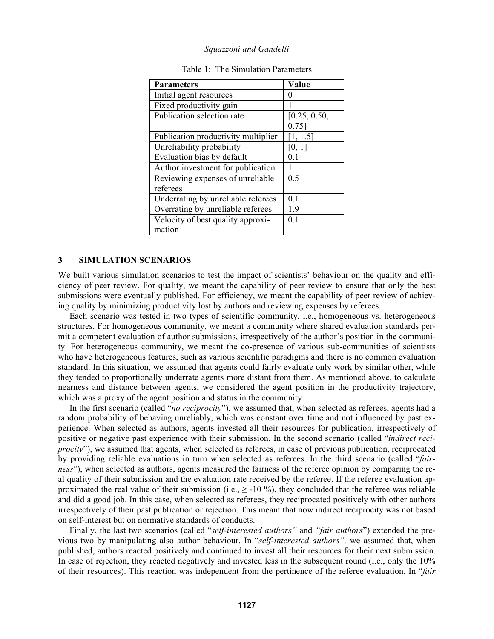| <b>Parameters</b>                   | Value          |
|-------------------------------------|----------------|
| Initial agent resources             | $\mathbf{0}$   |
| Fixed productivity gain             |                |
| Publication selection rate          | [0.25, 0.50,   |
|                                     | $0.75$ ]       |
| Publication productivity multiplier | [1, 1.5]       |
| Unreliability probability           | [0, 1]         |
| Evaluation bias by default          | 0.1            |
| Author investment for publication   |                |
| Reviewing expenses of unreliable    | 0.5            |
| referees                            |                |
| Underrating by unreliable referees  | 0.1            |
| Overrating by unreliable referees   | 1.9            |
| Velocity of best quality approxi-   | 0 <sub>1</sub> |
| mation                              |                |

|  |  |  |  | Table 1: The Simulation Parameters |
|--|--|--|--|------------------------------------|
|--|--|--|--|------------------------------------|

### **3 SIMULATION SCENARIOS**

We built various simulation scenarios to test the impact of scientists' behaviour on the quality and efficiency of peer review. For quality, we meant the capability of peer review to ensure that only the best submissions were eventually published. For efficiency, we meant the capability of peer review of achieving quality by minimizing productivity lost by authors and reviewing expenses by referees.

Each scenario was tested in two types of scientific community, i.e., homogeneous vs. heterogeneous structures. For homogeneous community, we meant a community where shared evaluation standards permit a competent evaluation of author submissions, irrespectively of the author's position in the community. For heterogeneous community, we meant the co-presence of various sub-communities of scientists who have heterogeneous features, such as various scientific paradigms and there is no common evaluation standard. In this situation, we assumed that agents could fairly evaluate only work by similar other, while they tended to proportionally underrate agents more distant from them. As mentioned above, to calculate nearness and distance between agents, we considered the agent position in the productivity trajectory, which was a proxy of the agent position and status in the community.

In the first scenario (called "*no reciprocity*"), we assumed that, when selected as referees, agents had a random probability of behaving unreliably, which was constant over time and not influenced by past experience. When selected as authors, agents invested all their resources for publication, irrespectively of positive or negative past experience with their submission. In the second scenario (called "*indirect reciprocity*"), we assumed that agents, when selected as referees, in case of previous publication, reciprocated by providing reliable evaluations in turn when selected as referees. In the third scenario (called "*fairness*"), when selected as authors, agents measured the fairness of the referee opinion by comparing the real quality of their submission and the evaluation rate received by the referee. If the referee evaluation approximated the real value of their submission (i.e.,  $\geq$  -10 %), they concluded that the referee was reliable and did a good job. In this case, when selected as referees, they reciprocated positively with other authors irrespectively of their past publication or rejection. This meant that now indirect reciprocity was not based on self-interest but on normative standards of conducts.

Finally, the last two scenarios (called "*self-interested authors"* and *"fair authors*") extended the previous two by manipulating also author behaviour. In "*self-interested authors",* we assumed that, when published, authors reacted positively and continued to invest all their resources for their next submission. In case of rejection, they reacted negatively and invested less in the subsequent round (i.e., only the 10% of their resources). This reaction was independent from the pertinence of the referee evaluation. In "*fair*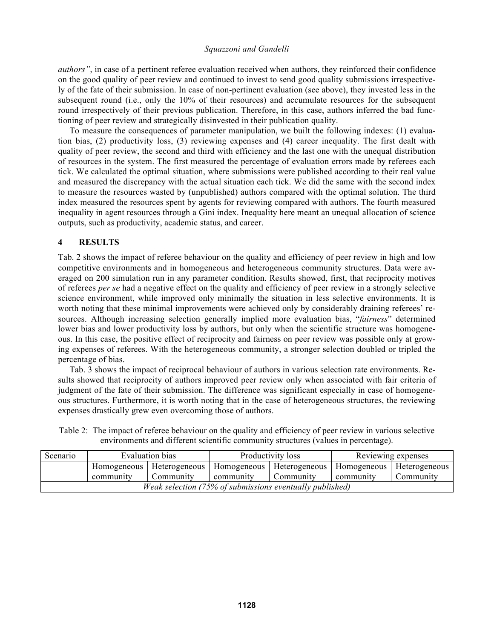*authors"*, in case of a pertinent referee evaluation received when authors, they reinforced their confidence on the good quality of peer review and continued to invest to send good quality submissions irrespectively of the fate of their submission. In case of non-pertinent evaluation (see above), they invested less in the subsequent round (i.e., only the 10% of their resources) and accumulate resources for the subsequent round irrespectively of their previous publication. Therefore, in this case, authors inferred the bad functioning of peer review and strategically disinvested in their publication quality.

To measure the consequences of parameter manipulation, we built the following indexes: (1) evaluation bias, (2) productivity loss, (3) reviewing expenses and (4) career inequality. The first dealt with quality of peer review, the second and third with efficiency and the last one with the unequal distribution of resources in the system. The first measured the percentage of evaluation errors made by referees each tick. We calculated the optimal situation, where submissions were published according to their real value and measured the discrepancy with the actual situation each tick. We did the same with the second index to measure the resources wasted by (unpublished) authors compared with the optimal solution. The third index measured the resources spent by agents for reviewing compared with authors. The fourth measured inequality in agent resources through a Gini index. Inequality here meant an unequal allocation of science outputs, such as productivity, academic status, and career.

# **4 RESULTS**

Tab. 2 shows the impact of referee behaviour on the quality and efficiency of peer review in high and low competitive environments and in homogeneous and heterogeneous community structures. Data were averaged on 200 simulation run in any parameter condition. Results showed, first, that reciprocity motives of referees *per se* had a negative effect on the quality and efficiency of peer review in a strongly selective science environment, while improved only minimally the situation in less selective environments. It is worth noting that these minimal improvements were achieved only by considerably draining referees' resources. Although increasing selection generally implied more evaluation bias, "*fairness*" determined lower bias and lower productivity loss by authors, but only when the scientific structure was homogeneous. In this case, the positive effect of reciprocity and fairness on peer review was possible only at growing expenses of referees. With the heterogeneous community, a stronger selection doubled or tripled the percentage of bias.

Tab. 3 shows the impact of reciprocal behaviour of authors in various selection rate environments. Results showed that reciprocity of authors improved peer review only when associated with fair criteria of judgment of the fate of their submission. The difference was significant especially in case of homogeneous structures. Furthermore, it is worth noting that in the case of heterogeneous structures, the reviewing expenses drastically grew even overcoming those of authors.

| Scenario                                                                   | Evaluation bias                                                                         |  | Productivity loss |  | Reviewing expenses |  |
|----------------------------------------------------------------------------|-----------------------------------------------------------------------------------------|--|-------------------|--|--------------------|--|
|                                                                            | Homogeneous   Heterogeneous   Homogeneous   Heterogeneous   Homogeneous   Heterogeneous |  |                   |  |                    |  |
| Community<br>Community<br>Community<br>community<br>community<br>community |                                                                                         |  |                   |  |                    |  |
| Weak selection (75% of submissions eventually published)                   |                                                                                         |  |                   |  |                    |  |

Table 2: The impact of referee behaviour on the quality and efficiency of peer review in various selective environments and different scientific community structures (values in percentage).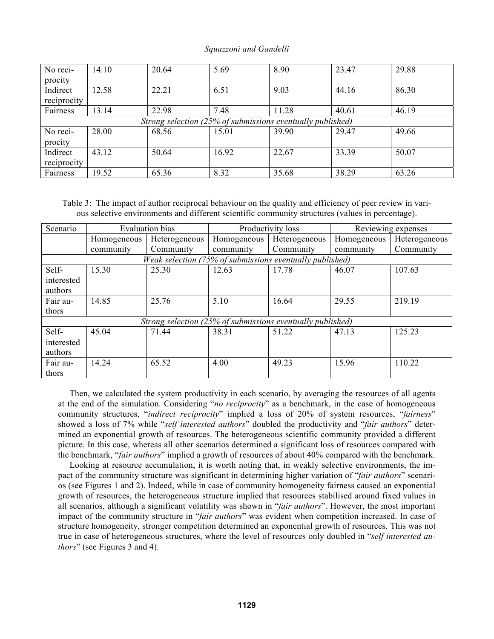| No reci-                                                   | 14.10 | 20.64 | 5.69  | 8.90  | 23.47 | 29.88 |
|------------------------------------------------------------|-------|-------|-------|-------|-------|-------|
| procity                                                    |       |       |       |       |       |       |
| Indirect                                                   | 12.58 | 22.21 | 6.51  | 9.03  | 44.16 | 86.30 |
| reciprocity                                                |       |       |       |       |       |       |
| Fairness                                                   | 13.14 | 22.98 | 7.48  | 11.28 | 40.61 | 46.19 |
| Strong selection (25% of submissions eventually published) |       |       |       |       |       |       |
| No reci-                                                   | 28.00 | 68.56 | 15.01 | 39.90 | 29.47 | 49.66 |
| procity                                                    |       |       |       |       |       |       |
| Indirect                                                   | 43.12 | 50.64 | 16.92 | 22.67 | 33.39 | 50.07 |
| reciprocity                                                |       |       |       |       |       |       |
| Fairness                                                   | 19.52 | 65.36 | 8.32  | 35.68 | 38.29 | 63.26 |

Table 3: The impact of author reciprocal behaviour on the quality and efficiency of peer review in various selective environments and different scientific community structures (values in percentage).

| Scenario                                                   |             | <b>Evaluation</b> bias |             | Productivity loss                                        | Reviewing expenses |               |
|------------------------------------------------------------|-------------|------------------------|-------------|----------------------------------------------------------|--------------------|---------------|
|                                                            | Homogeneous | Heterogeneous          | Homogeneous | Heterogeneous                                            | Homogeneous        | Heterogeneous |
|                                                            | community   | Community              | community   | Community                                                | community          | Community     |
|                                                            |             |                        |             | Weak selection (75% of submissions eventually published) |                    |               |
| Self-                                                      | 15.30       | 25.30                  | 12.63       | 17.78                                                    | 46.07              | 107.63        |
| interested                                                 |             |                        |             |                                                          |                    |               |
| authors                                                    |             |                        |             |                                                          |                    |               |
| Fair au-                                                   | 14.85       | 25.76                  | 5.10        | 16.64                                                    | 29.55              | 219.19        |
| thors                                                      |             |                        |             |                                                          |                    |               |
| Strong selection (25% of submissions eventually published) |             |                        |             |                                                          |                    |               |
| Self-                                                      | 45.04       | 71.44                  | 38.31       | 51.22                                                    | 47.13              | 125.23        |
| interested                                                 |             |                        |             |                                                          |                    |               |
| authors                                                    |             |                        |             |                                                          |                    |               |
| Fair au-                                                   | 14.24       | 65.52                  | 4.00        | 49.23                                                    | 15.96              | 110.22        |
| thors                                                      |             |                        |             |                                                          |                    |               |

Then, we calculated the system productivity in each scenario, by averaging the resources of all agents at the end of the simulation. Considering "*no reciprocity*" as a benchmark, in the case of homogeneous community structures, "*indirect reciprocity*" implied a loss of 20% of system resources, "*fairness*" showed a loss of 7% while "*self interested authors*" doubled the productivity and "*fair authors*" determined an exponential growth of resources. The heterogeneous scientific community provided a different picture. In this case, whereas all other scenarios determined a significant loss of resources compared with the benchmark, "*fair authors*" implied a growth of resources of about 40% compared with the benchmark.

Looking at resource accumulation, it is worth noting that, in weakly selective environments, the impact of the community structure was significant in determining higher variation of "*fair authors*" scenarios (see Figures 1 and 2). Indeed, while in case of community homogeneity fairness caused an exponential growth of resources, the heterogeneous structure implied that resources stabilised around fixed values in all scenarios, although a significant volatility was shown in "*fair authors*". However, the most important impact of the community structure in "*fair authors*" was evident when competition increased. In case of structure homogeneity, stronger competition determined an exponential growth of resources. This was not true in case of heterogeneous structures, where the level of resources only doubled in "*self interested authors*" (see Figures 3 and 4).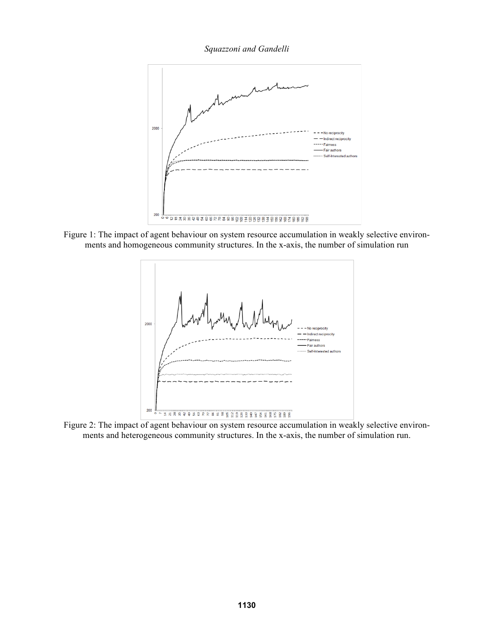*Squazzoni and Gandelli* 



Figure 1: The impact of agent behaviour on system resource accumulation in weakly selective environments and homogeneous community structures. In the x-axis, the number of simulation run



Figure 2: The impact of agent behaviour on system resource accumulation in weakly selective environments and heterogeneous community structures. In the x-axis, the number of simulation run.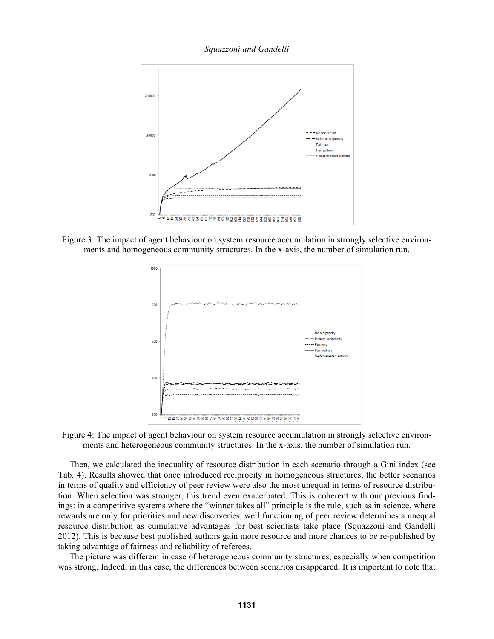*Squazzoni and Gandelli* 



Figure 3: The impact of agent behaviour on system resource accumulation in strongly selective environments and homogeneous community structures. In the x-axis, the number of simulation run.



Figure 4: The impact of agent behaviour on system resource accumulation in strongly selective environments and heterogeneous community structures. In the x-axis, the number of simulation run.

Then, we calculated the inequality of resource distribution in each scenario through a Gini index (see Tab. 4). Results showed that once introduced reciprocity in homogeneous structures, the better scenarios in terms of quality and efficiency of peer review were also the most unequal in terms of resource distribution. When selection was stronger, this trend even exacerbated. This is coherent with our previous findings: in a competitive systems where the "winner takes all" principle is the rule, such as in science, where rewards are only for priorities and new discoveries, well functioning of peer review determines a unequal resource distribution as cumulative advantages for best scientists take place (Squazzoni and Gandelli 2012). This is because best published authors gain more resource and more chances to be re-published by taking advantage of fairness and reliability of referees.

The picture was different in case of heterogeneous community structures, especially when competition was strong. Indeed, in this case, the differences between scenarios disappeared. It is important to note that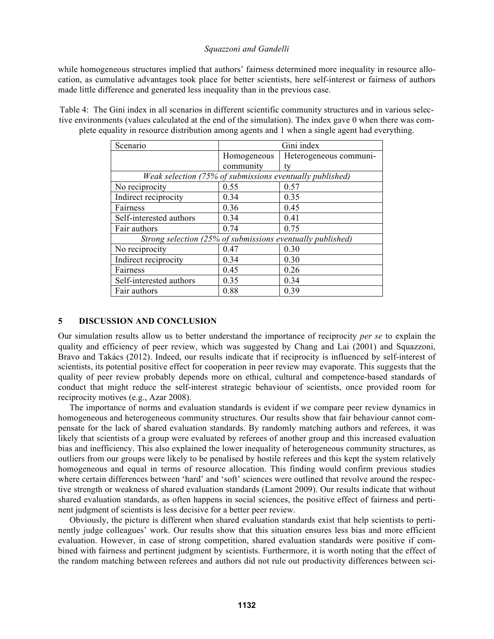while homogeneous structures implied that authors' fairness determined more inequality in resource allocation, as cumulative advantages took place for better scientists, here self-interest or fairness of authors made little difference and generated less inequality than in the previous case.

Table 4: The Gini index in all scenarios in different scientific community structures and in various selective environments (values calculated at the end of the simulation). The index gave 0 when there was complete equality in resource distribution among agents and 1 when a single agent had everything.

| Scenario                                                   | Gini index  |                        |  |  |
|------------------------------------------------------------|-------------|------------------------|--|--|
|                                                            | Homogeneous | Heterogeneous communi- |  |  |
|                                                            | community   | ty                     |  |  |
| Weak selection (75% of submissions eventually published)   |             |                        |  |  |
| No reciprocity                                             | 0.55        | 0.57                   |  |  |
| Indirect reciprocity                                       | 0.34        | 0.35                   |  |  |
| Fairness                                                   | 0.36        | 0.45                   |  |  |
| Self-interested authors                                    | 0.34        | 0.41                   |  |  |
| Fair authors                                               | 0.74        | 0.75                   |  |  |
| Strong selection (25% of submissions eventually published) |             |                        |  |  |
| No reciprocity                                             | 0.47        | 0.30                   |  |  |
| Indirect reciprocity                                       | 0.34        | 0.30                   |  |  |
| Fairness                                                   | 0.45        | 0.26                   |  |  |
| Self-interested authors                                    | 0.35        | 0.34                   |  |  |
| Fair authors                                               | 0.88        | 0.39                   |  |  |

## **5 DISCUSSION AND CONCLUSION**

Our simulation results allow us to better understand the importance of reciprocity *per se* to explain the quality and efficiency of peer review, which was suggested by Chang and Lai (2001) and Squazzoni, Bravo and Takács (2012). Indeed, our results indicate that if reciprocity is influenced by self-interest of scientists, its potential positive effect for cooperation in peer review may evaporate. This suggests that the quality of peer review probably depends more on ethical, cultural and competence-based standards of conduct that might reduce the self-interest strategic behaviour of scientists, once provided room for reciprocity motives (e.g., Azar 2008).

The importance of norms and evaluation standards is evident if we compare peer review dynamics in homogeneous and heterogeneous community structures. Our results show that fair behaviour cannot compensate for the lack of shared evaluation standards. By randomly matching authors and referees, it was likely that scientists of a group were evaluated by referees of another group and this increased evaluation bias and inefficiency. This also explained the lower inequality of heterogeneous community structures, as outliers from our groups were likely to be penalised by hostile referees and this kept the system relatively homogeneous and equal in terms of resource allocation. This finding would confirm previous studies where certain differences between 'hard' and 'soft' sciences were outlined that revolve around the respective strength or weakness of shared evaluation standards (Lamont 2009). Our results indicate that without shared evaluation standards, as often happens in social sciences, the positive effect of fairness and pertinent judgment of scientists is less decisive for a better peer review.

Obviously, the picture is different when shared evaluation standards exist that help scientists to pertinently judge colleagues' work. Our results show that this situation ensures less bias and more efficient evaluation. However, in case of strong competition, shared evaluation standards were positive if combined with fairness and pertinent judgment by scientists. Furthermore, it is worth noting that the effect of the random matching between referees and authors did not rule out productivity differences between sci-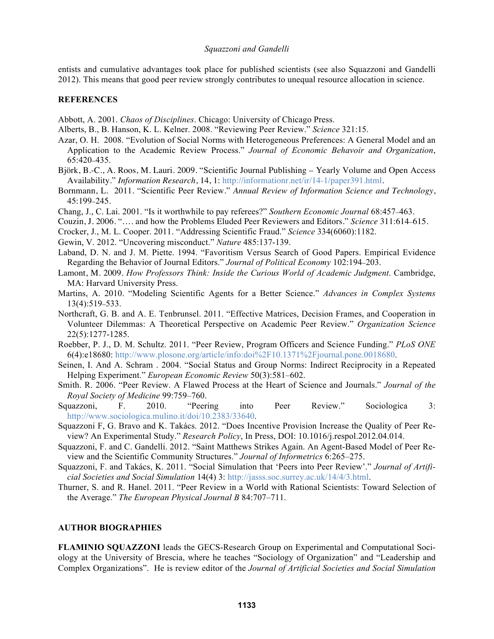entists and cumulative advantages took place for published scientists (see also Squazzoni and Gandelli 2012). This means that good peer review strongly contributes to unequal resource allocation in science.

### **REFERENCES**

Abbott, A. 2001. *Chaos of Disciplines*. Chicago: University of Chicago Press.

- Alberts, B., B. Hanson, K. L. Kelner. 2008. "Reviewing Peer Review." *Science* 321:15.
- Azar, O. H. 2008. "Evolution of Social Norms with Heterogeneous Preferences: A General Model and an Application to the Academic Review Process." *Journal of Economic Behavoir and Organization*, 65:420–435.

Björk, B.-C., A. Roos, M. Lauri. 2009. "Scientific Journal Publishing – Yearly Volume and Open Access Availability." *Information Research*, 14, 1: http://informationr.net/ir/14-1/paper391.html.

Bornmann, L. 2011. "Scientific Peer Review." *Annual Review of Information Science and Technology*, 45:199–245.

Chang, J., C. Lai. 2001. "Is it worthwhile to pay referees?" *Southern Economic Journal* 68:457–463.

Couzin, J. 2006. "…. and how the Problems Eluded Peer Reviewers and Editors." *Science* 311:614–615.

Crocker, J., M. L. Cooper. 2011. "Addressing Scientific Fraud." *Science* 334(6060):1182.

Gewin, V. 2012. "Uncovering misconduct." *Nature* 485:137-139.

- Laband, D. N. and J. M. Piette. 1994. "Favoritism Versus Search of Good Papers. Empirical Evidence Regarding the Behavior of Journal Editors." *Journal of Political Economy* 102:194–203.
- Lamont, M. 2009. *How Professors Think: Inside the Curious World of Academic Judgment*. Cambridge, MA: Harvard University Press.
- Martins, A. 2010. "Modeling Scientific Agents for a Better Science." *Advances in Complex Systems* 13(4):519–533.
- Northcraft, G. B. and A. E. Tenbrunsel. 2011. "Effective Matrices, Decision Frames, and Cooperation in Volunteer Dilemmas: A Theoretical Perspective on Academic Peer Review." *Organization Science* 22(5):1277-1285.
- Roebber, P. J., D. M. Schultz. 2011. "Peer Review, Program Officers and Science Funding." *PLoS ONE* 6(4):e18680: http://www.plosone.org/article/info:doi%2F10.1371%2Fjournal.pone.0018680.
- Seinen, I. And A. Schram . 2004. "Social Status and Group Norms: Indirect Reciprocity in a Repeated Helping Experiment." *European Economic Review* 50(3):581–602.
- Smith. R. 2006. "Peer Review. A Flawed Process at the Heart of Science and Journals." *Journal of the Royal Society of Medicine* 99:759–760.
- Squazzoni, F. 2010. "Peering into Peer Review." Sociologica 3: http://www.sociologica.mulino.it/doi/10.2383/33640.
- Squazzoni F, G. Bravo and K. Takács. 2012. "Does Incentive Provision Increase the Quality of Peer Review? An Experimental Study." *Research Policy*, In Press, DOI: 10.1016/j.respol.2012.04.014.
- Squazzoni, F. and C. Gandelli. 2012. "Saint Matthews Strikes Again. An Agent-Based Model of Peer Review and the Scientific Community Structures." *Journal of Informetrics* 6:265–275.
- Squazzoni, F. and Takács, K. 2011. "Social Simulation that 'Peers into Peer Review'." *Journal of Artificial Societies and Social Simulation* 14(4) 3: http://jasss.soc.surrey.ac.uk/14/4/3.html.
- Thurner, S. and R. Hanel. 2011. "Peer Review in a World with Rational Scientists: Toward Selection of the Average." *The European Physical Journal B* 84:707–711.

# **AUTHOR BIOGRAPHIES**

**FLAMINIO SQUAZZONI** leads the GECS-Research Group on Experimental and Computational Sociology at the University of Brescia, where he teaches "Sociology of Organization" and "Leadership and Complex Organizations". He is review editor of the *Journal of Artificial Societies and Social Simulation*